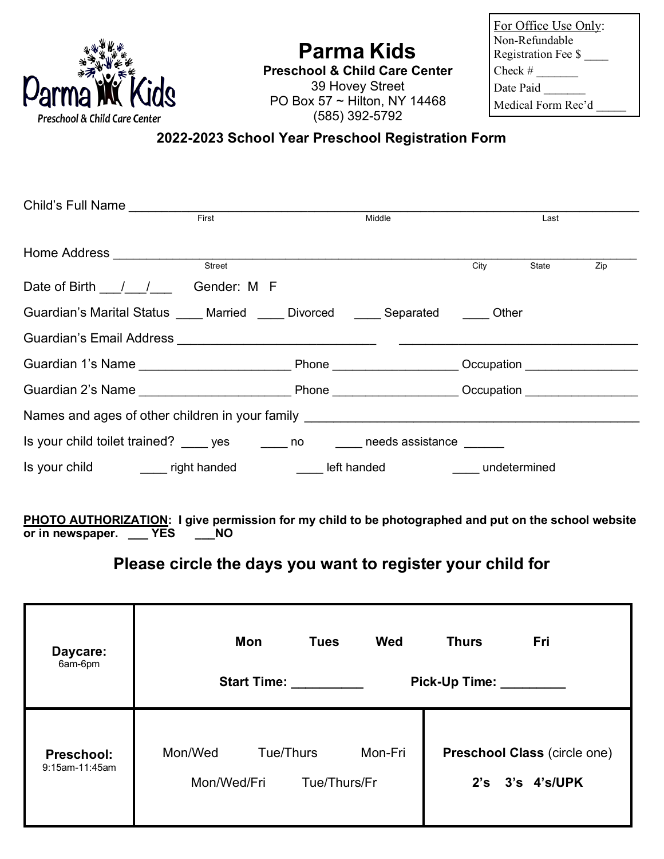

## **Parma Kids**

**Preschool & Child Care Center** 39 Hovey Street PO Box 57 ~ Hilton, NY 14468 (585) 392-5792

| For Office Use Only: |
|----------------------|
| Non-Refundable       |
| Registration Fee \$  |
| Check #              |
| Date Paid            |
| Medical Form Rec'd   |
|                      |

## **2022-2023 School Year Preschool Registration Form**

| Child's Full Name                                                                               |        |             |                               |       |     |
|-------------------------------------------------------------------------------------------------|--------|-------------|-------------------------------|-------|-----|
|                                                                                                 | First  | Middle      |                               | Last  |     |
| Home Address ___________________                                                                | Street |             | City                          | State | Zip |
| Date of Birth / / Gender: M F                                                                   |        |             |                               |       |     |
| Guardian's Marital Status ____ Married ____ Divorced ____ Separated ____ Other                  |        |             |                               |       |     |
|                                                                                                 |        |             |                               |       |     |
|                                                                                                 |        |             |                               |       |     |
|                                                                                                 |        |             |                               |       |     |
| Names and ages of other children in your family Names and ages of other children in your family |        |             |                               |       |     |
| Is your child toilet trained? _____ yes _______ no ______ needs assistance _____                |        |             |                               |       |     |
| Is your child ________ right handed                                                             |        | left handed | <b>Example 1</b> undetermined |       |     |

**PHOTO AUTHORIZATION: I give permission for my child to be photographed and put on the school website or in newspaper. \_\_\_ YES \_\_\_NO**

## **Please circle the days you want to register your child for**

| Daycare:<br>6am-6pm                 | <b>Wed</b><br>Mon<br><b>Tues</b><br><b>Start Time:</b>         | Fri<br><b>Thurs</b><br>Pick-Up Time:            |
|-------------------------------------|----------------------------------------------------------------|-------------------------------------------------|
| <b>Preschool:</b><br>9:15am-11:45am | Mon/Wed<br>Tue/Thurs<br>Mon-Fri<br>Mon/Wed/Fri<br>Tue/Thurs/Fr | Preschool Class (circle one)<br>2's 3's 4's/UPK |